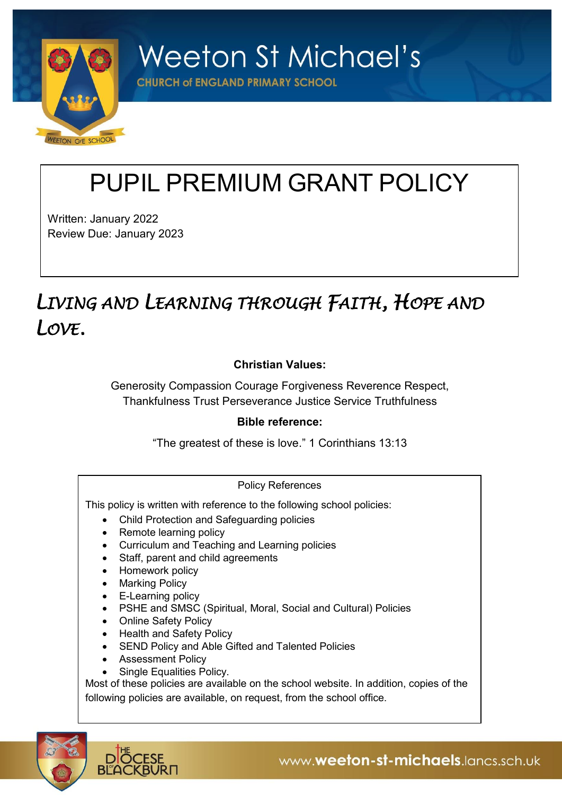

**Weeton St Michael's** 

**CHURCH of ENGLAND PRIMARY SCHOOL** 

# PUPIL PREMIUM GRANT POLICY

Written: January 2022 Review Due: January 2023

# *LIVING AND LEARNING THROUGH FAITH, HOPE AND LOVE.*

# **Christian Values:**

Generosity Compassion Courage Forgiveness Reverence Respect, Thankfulness Trust Perseverance Justice Service Truthfulness

# **Bible reference:**

"The greatest of these is love." 1 Corinthians 13:13

## Policy References

This policy is written with reference to the following school policies:

- Child Protection and Safeguarding policies
- Remote learning policy
- Curriculum and Teaching and Learning policies
- Staff, parent and child agreements
- Homework policy
- Marking Policy
- E-Learning policy
- PSHE and SMSC (Spiritual, Moral, Social and Cultural) Policies
- Online Safety Policy
- Health and Safety Policy
- SEND Policy and Able Gifted and Talented Policies
- Assessment Policy
- Single Equalities Policy.

Most of these policies are available on the school website. In addition, copies of the following policies are available, on request, from the school office.

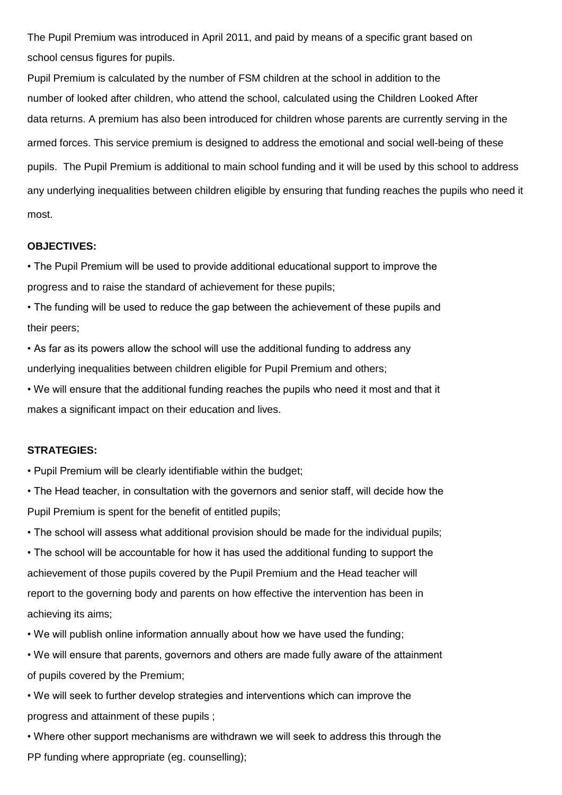The Pupil Premium was introduced in April 2011, and paid by means of a specific grant based on school census figures for pupils.

Pupil Premium is calculated by the number of FSM children at the school in addition to the number of looked after children, who attend the school, calculated using the Children Looked After data returns. A premium has also been introduced for children whose parents are currently serving in the armed forces. This service premium is designed to address the emotional and social well-being of these pupils. The Pupil Premium is additional to main school funding and it will be used by this school to address any underlying inequalities between children eligible by ensuring that funding reaches the pupils who need it most.

#### **OBJECTIVES:**

• The Pupil Premium will be used to provide additional educational support to improve the progress and to raise the standard of achievement for these pupils;

• The funding will be used to reduce the gap between the achievement of these pupils and their peers;

• As far as its powers allow the school will use the additional funding to address any underlying inequalities between children eligible for Pupil Premium and others;

• We will ensure that the additional funding reaches the pupils who need it most and that it makes a significant impact on their education and lives.

#### **STRATEGIES:**

• Pupil Premium will be clearly identifiable within the budget;

• The Head teacher, in consultation with the governors and senior staff, will decide how the Pupil Premium is spent for the benefit of entitled pupils;

• The school will assess what additional provision should be made for the individual pupils;

• The school will be accountable for how it has used the additional funding to support the achievement of those pupils covered by the Pupil Premium and the Head teacher will report to the governing body and parents on how effective the intervention has been in achieving its aims;

• We will publish online information annually about how we have used the funding;

• We will ensure that parents, governors and others are made fully aware of the attainment of pupils covered by the Premium;

• We will seek to further develop strategies and interventions which can improve the progress and attainment of these pupils ;

• Where other support mechanisms are withdrawn we will seek to address this through the PP funding where appropriate (eg. counselling);